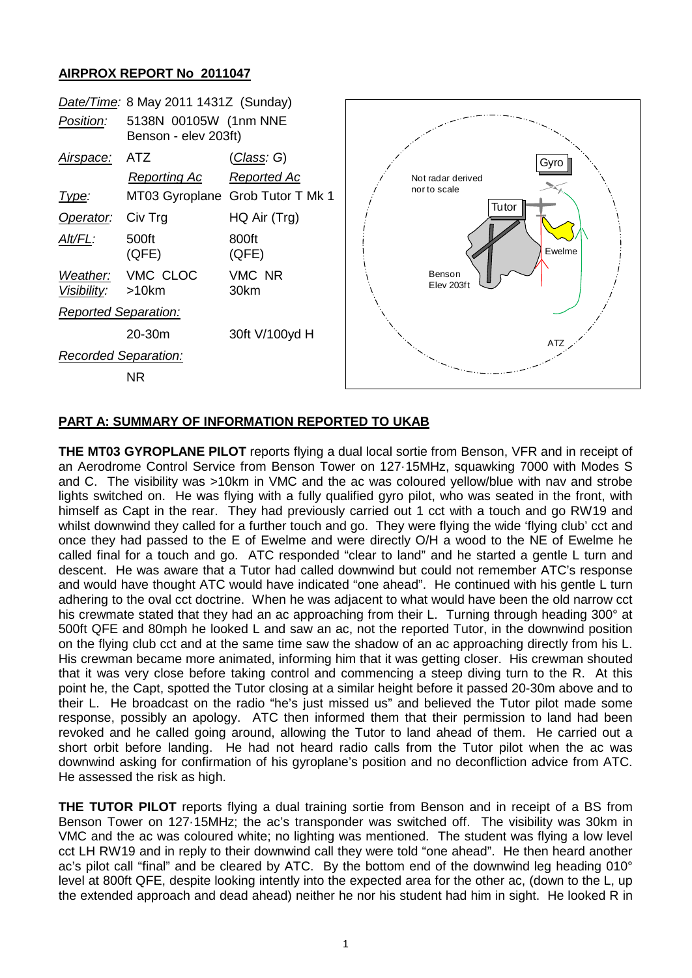## **AIRPROX REPORT No 2011047**



# **PART A: SUMMARY OF INFORMATION REPORTED TO UKAB**

**THE MT03 GYROPLANE PILOT** reports flying a dual local sortie from Benson, VFR and in receipt of an Aerodrome Control Service from Benson Tower on 127·15MHz, squawking 7000 with Modes S and C. The visibility was >10km in VMC and the ac was coloured yellow/blue with nav and strobe lights switched on. He was flying with a fully qualified gyro pilot, who was seated in the front, with himself as Capt in the rear. They had previously carried out 1 cct with a touch and go RW19 and whilst downwind they called for a further touch and go. They were flying the wide 'flying club' cct and once they had passed to the E of Ewelme and were directly O/H a wood to the NE of Ewelme he called final for a touch and go. ATC responded "clear to land" and he started a gentle L turn and descent. He was aware that a Tutor had called downwind but could not remember ATC's response and would have thought ATC would have indicated "one ahead". He continued with his gentle L turn adhering to the oval cct doctrine. When he was adjacent to what would have been the old narrow cct his crewmate stated that they had an ac approaching from their L. Turning through heading 300° at 500ft QFE and 80mph he looked L and saw an ac, not the reported Tutor, in the downwind position on the flying club cct and at the same time saw the shadow of an ac approaching directly from his L. His crewman became more animated, informing him that it was getting closer. His crewman shouted that it was very close before taking control and commencing a steep diving turn to the R. At this point he, the Capt, spotted the Tutor closing at a similar height before it passed 20-30m above and to their L. He broadcast on the radio "he's just missed us" and believed the Tutor pilot made some response, possibly an apology. ATC then informed them that their permission to land had been revoked and he called going around, allowing the Tutor to land ahead of them. He carried out a short orbit before landing. He had not heard radio calls from the Tutor pilot when the ac was downwind asking for confirmation of his gyroplane's position and no deconfliction advice from ATC. He assessed the risk as high.

**THE TUTOR PILOT** reports flying a dual training sortie from Benson and in receipt of a BS from Benson Tower on 127·15MHz; the ac's transponder was switched off. The visibility was 30km in VMC and the ac was coloured white; no lighting was mentioned. The student was flying a low level cct LH RW19 and in reply to their downwind call they were told "one ahead". He then heard another ac's pilot call "final" and be cleared by ATC. By the bottom end of the downwind leg heading 010° level at 800ft QFE, despite looking intently into the expected area for the other ac, (down to the L, up the extended approach and dead ahead) neither he nor his student had him in sight. He looked R in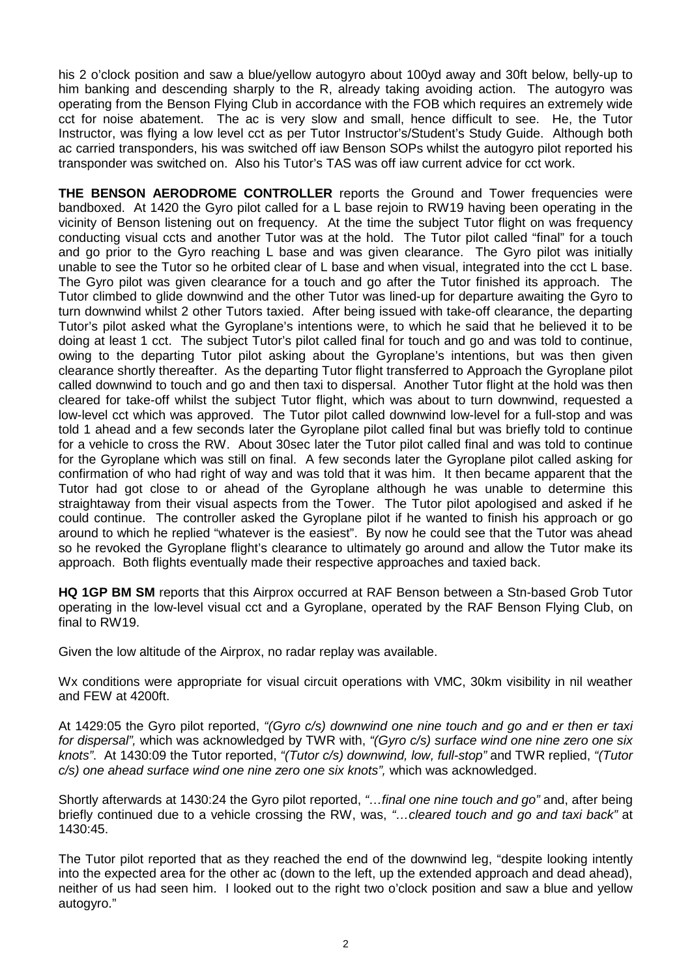his 2 o'clock position and saw a blue/yellow autogyro about 100yd away and 30ft below, belly-up to him banking and descending sharply to the R, already taking avoiding action. The autogyro was operating from the Benson Flying Club in accordance with the FOB which requires an extremely wide cct for noise abatement. The ac is very slow and small, hence difficult to see. He, the Tutor Instructor, was flying a low level cct as per Tutor Instructor's/Student's Study Guide. Although both ac carried transponders, his was switched off iaw Benson SOPs whilst the autogyro pilot reported his transponder was switched on. Also his Tutor's TAS was off iaw current advice for cct work.

**THE BENSON AERODROME CONTROLLER** reports the Ground and Tower frequencies were bandboxed. At 1420 the Gyro pilot called for a L base rejoin to RW19 having been operating in the vicinity of Benson listening out on frequency. At the time the subject Tutor flight on was frequency conducting visual ccts and another Tutor was at the hold. The Tutor pilot called "final" for a touch and go prior to the Gyro reaching L base and was given clearance. The Gyro pilot was initially unable to see the Tutor so he orbited clear of L base and when visual, integrated into the cct L base. The Gyro pilot was given clearance for a touch and go after the Tutor finished its approach. The Tutor climbed to glide downwind and the other Tutor was lined-up for departure awaiting the Gyro to turn downwind whilst 2 other Tutors taxied. After being issued with take-off clearance, the departing Tutor's pilot asked what the Gyroplane's intentions were, to which he said that he believed it to be doing at least 1 cct. The subject Tutor's pilot called final for touch and go and was told to continue, owing to the departing Tutor pilot asking about the Gyroplane's intentions, but was then given clearance shortly thereafter. As the departing Tutor flight transferred to Approach the Gyroplane pilot called downwind to touch and go and then taxi to dispersal. Another Tutor flight at the hold was then cleared for take-off whilst the subject Tutor flight, which was about to turn downwind, requested a low-level cct which was approved. The Tutor pilot called downwind low-level for a full-stop and was told 1 ahead and a few seconds later the Gyroplane pilot called final but was briefly told to continue for a vehicle to cross the RW. About 30sec later the Tutor pilot called final and was told to continue for the Gyroplane which was still on final. A few seconds later the Gyroplane pilot called asking for confirmation of who had right of way and was told that it was him. It then became apparent that the Tutor had got close to or ahead of the Gyroplane although he was unable to determine this straightaway from their visual aspects from the Tower. The Tutor pilot apologised and asked if he could continue. The controller asked the Gyroplane pilot if he wanted to finish his approach or go around to which he replied "whatever is the easiest". By now he could see that the Tutor was ahead so he revoked the Gyroplane flight's clearance to ultimately go around and allow the Tutor make its approach. Both flights eventually made their respective approaches and taxied back.

**HQ 1GP BM SM** reports that this Airprox occurred at RAF Benson between a Stn-based Grob Tutor operating in the low-level visual cct and a Gyroplane, operated by the RAF Benson Flying Club, on final to RW19.

Given the low altitude of the Airprox, no radar replay was available.

Wx conditions were appropriate for visual circuit operations with VMC, 30km visibility in nil weather and FEW at 4200ft.

At 1429:05 the Gyro pilot reported, *"(Gyro c/s) downwind one nine touch and go and er then er taxi for dispersal",* which was acknowledged by TWR with, *"(Gyro c/s) surface wind one nine zero one six knots"*. At 1430:09 the Tutor reported, *"(Tutor c/s) downwind, low, full-stop"* and TWR replied, *"(Tutor c/s) one ahead surface wind one nine zero one six knots",* which was acknowledged.

Shortly afterwards at 1430:24 the Gyro pilot reported, *"…final one nine touch and go"* and, after being briefly continued due to a vehicle crossing the RW, was, *"…cleared touch and go and taxi back"* at 1430:45.

The Tutor pilot reported that as they reached the end of the downwind leg, "despite looking intently into the expected area for the other ac (down to the left, up the extended approach and dead ahead), neither of us had seen him. I looked out to the right two o'clock position and saw a blue and yellow autogyro."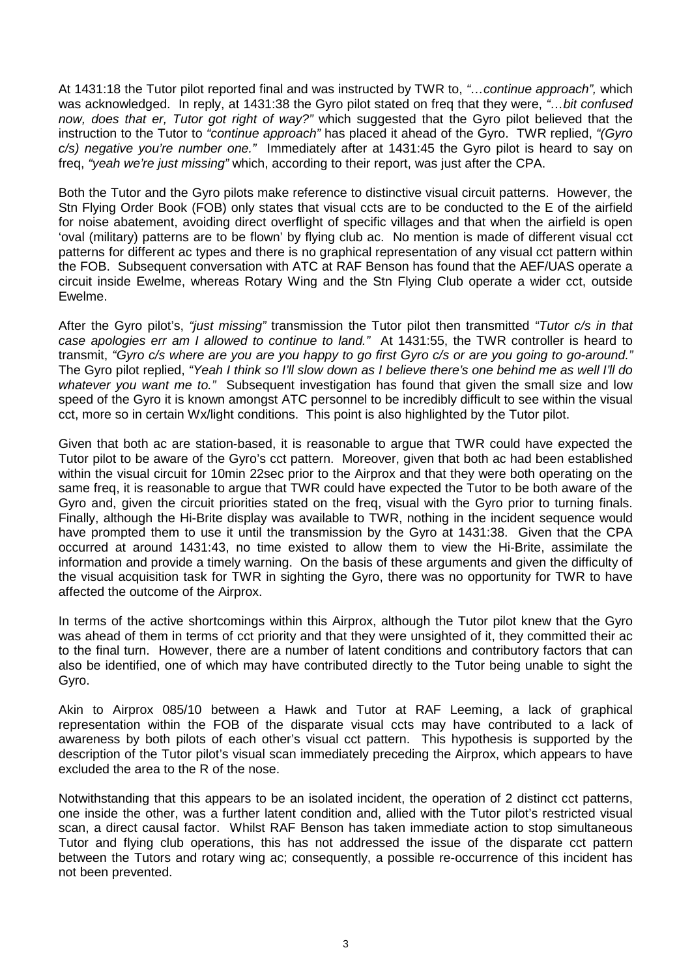At 1431:18 the Tutor pilot reported final and was instructed by TWR to, *"…continue approach",* which was acknowledged. In reply, at 1431:38 the Gyro pilot stated on freq that they were, *"…bit confused now, does that er, Tutor got right of way?"* which suggested that the Gyro pilot believed that the instruction to the Tutor to *"continue approach"* has placed it ahead of the Gyro. TWR replied, *"(Gyro c/s) negative you're number one."* Immediately after at 1431:45 the Gyro pilot is heard to say on freq, *"yeah we're just missing"* which, according to their report, was just after the CPA.

Both the Tutor and the Gyro pilots make reference to distinctive visual circuit patterns. However, the Stn Flying Order Book (FOB) only states that visual ccts are to be conducted to the E of the airfield for noise abatement, avoiding direct overflight of specific villages and that when the airfield is open 'oval (military) patterns are to be flown' by flying club ac. No mention is made of different visual cct patterns for different ac types and there is no graphical representation of any visual cct pattern within the FOB. Subsequent conversation with ATC at RAF Benson has found that the AEF/UAS operate a circuit inside Ewelme, whereas Rotary Wing and the Stn Flying Club operate a wider cct, outside Ewelme.

After the Gyro pilot's, *"just missing"* transmission the Tutor pilot then transmitted *"Tutor c/s in that case apologies err am I allowed to continue to land."* At 1431:55, the TWR controller is heard to transmit, *"Gyro c/s where are you are you happy to go first Gyro c/s or are you going to go-around."* The Gyro pilot replied, *"Yeah I think so I'll slow down as I believe there's one behind me as well I'll do whatever you want me to."* Subsequent investigation has found that given the small size and low speed of the Gyro it is known amongst ATC personnel to be incredibly difficult to see within the visual cct, more so in certain Wx/light conditions. This point is also highlighted by the Tutor pilot.

Given that both ac are station-based, it is reasonable to argue that TWR could have expected the Tutor pilot to be aware of the Gyro's cct pattern. Moreover, given that both ac had been established within the visual circuit for 10min 22sec prior to the Airprox and that they were both operating on the same freq, it is reasonable to argue that TWR could have expected the Tutor to be both aware of the Gyro and, given the circuit priorities stated on the freq, visual with the Gyro prior to turning finals. Finally, although the Hi-Brite display was available to TWR, nothing in the incident sequence would have prompted them to use it until the transmission by the Gyro at 1431:38. Given that the CPA occurred at around 1431:43, no time existed to allow them to view the Hi-Brite, assimilate the information and provide a timely warning. On the basis of these arguments and given the difficulty of the visual acquisition task for TWR in sighting the Gyro, there was no opportunity for TWR to have affected the outcome of the Airprox.

In terms of the active shortcomings within this Airprox, although the Tutor pilot knew that the Gyro was ahead of them in terms of cct priority and that they were unsighted of it, they committed their ac to the final turn. However, there are a number of latent conditions and contributory factors that can also be identified, one of which may have contributed directly to the Tutor being unable to sight the Gyro.

Akin to Airprox 085/10 between a Hawk and Tutor at RAF Leeming, a lack of graphical representation within the FOB of the disparate visual ccts may have contributed to a lack of awareness by both pilots of each other's visual cct pattern. This hypothesis is supported by the description of the Tutor pilot's visual scan immediately preceding the Airprox, which appears to have excluded the area to the R of the nose.

Notwithstanding that this appears to be an isolated incident, the operation of 2 distinct cct patterns, one inside the other, was a further latent condition and, allied with the Tutor pilot's restricted visual scan, a direct causal factor. Whilst RAF Benson has taken immediate action to stop simultaneous Tutor and flying club operations, this has not addressed the issue of the disparate cct pattern between the Tutors and rotary wing ac; consequently, a possible re-occurrence of this incident has not been prevented.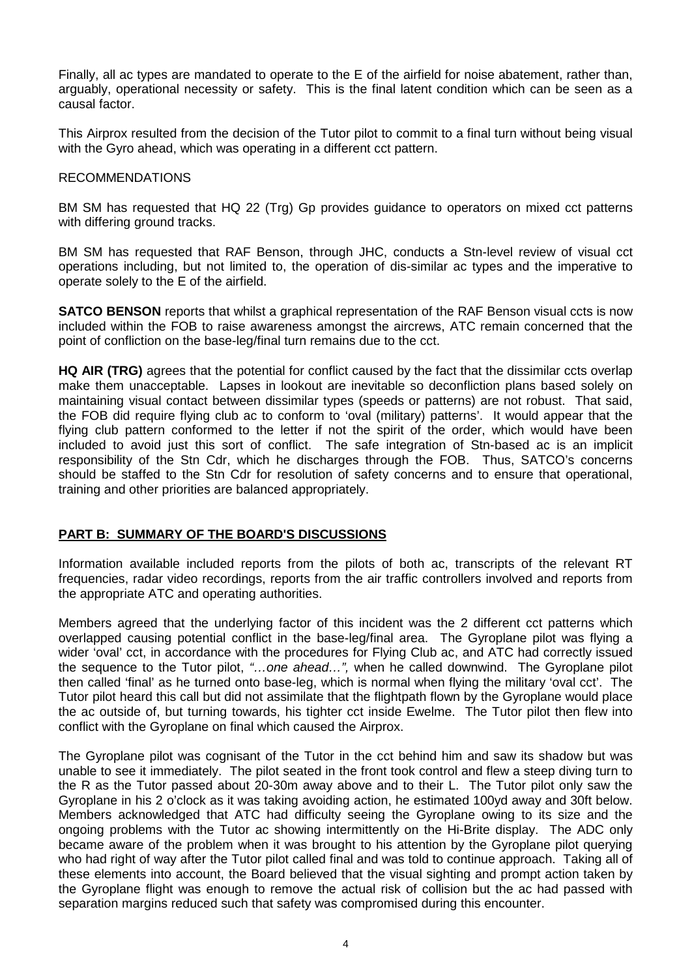Finally, all ac types are mandated to operate to the E of the airfield for noise abatement, rather than, arguably, operational necessity or safety. This is the final latent condition which can be seen as a causal factor.

This Airprox resulted from the decision of the Tutor pilot to commit to a final turn without being visual with the Gyro ahead, which was operating in a different cct pattern.

#### RECOMMENDATIONS

BM SM has requested that HQ 22 (Trg) Gp provides guidance to operators on mixed cct patterns with differing ground tracks.

BM SM has requested that RAF Benson, through JHC, conducts a Stn-level review of visual cct operations including, but not limited to, the operation of dis-similar ac types and the imperative to operate solely to the E of the airfield.

**SATCO BENSON** reports that whilst a graphical representation of the RAF Benson visual ccts is now included within the FOB to raise awareness amongst the aircrews, ATC remain concerned that the point of confliction on the base-leg/final turn remains due to the cct.

**HQ AIR (TRG)** agrees that the potential for conflict caused by the fact that the dissimilar ccts overlap make them unacceptable. Lapses in lookout are inevitable so deconfliction plans based solely on maintaining visual contact between dissimilar types (speeds or patterns) are not robust. That said, the FOB did require flying club ac to conform to 'oval (military) patterns'. It would appear that the flying club pattern conformed to the letter if not the spirit of the order, which would have been included to avoid just this sort of conflict. The safe integration of Stn-based ac is an implicit responsibility of the Stn Cdr, which he discharges through the FOB. Thus, SATCO's concerns should be staffed to the Stn Cdr for resolution of safety concerns and to ensure that operational, training and other priorities are balanced appropriately.

## **PART B: SUMMARY OF THE BOARD'S DISCUSSIONS**

Information available included reports from the pilots of both ac, transcripts of the relevant RT frequencies, radar video recordings, reports from the air traffic controllers involved and reports from the appropriate ATC and operating authorities.

Members agreed that the underlying factor of this incident was the 2 different cct patterns which overlapped causing potential conflict in the base-leg/final area. The Gyroplane pilot was flying a wider 'oval' cct, in accordance with the procedures for Flying Club ac, and ATC had correctly issued the sequence to the Tutor pilot, *"…one ahead…",* when he called downwind. The Gyroplane pilot then called 'final' as he turned onto base-leg, which is normal when flying the military 'oval cct'. The Tutor pilot heard this call but did not assimilate that the flightpath flown by the Gyroplane would place the ac outside of, but turning towards, his tighter cct inside Ewelme. The Tutor pilot then flew into conflict with the Gyroplane on final which caused the Airprox.

The Gyroplane pilot was cognisant of the Tutor in the cct behind him and saw its shadow but was unable to see it immediately. The pilot seated in the front took control and flew a steep diving turn to the R as the Tutor passed about 20-30m away above and to their L. The Tutor pilot only saw the Gyroplane in his 2 o'clock as it was taking avoiding action, he estimated 100yd away and 30ft below. Members acknowledged that ATC had difficulty seeing the Gyroplane owing to its size and the ongoing problems with the Tutor ac showing intermittently on the Hi-Brite display. The ADC only became aware of the problem when it was brought to his attention by the Gyroplane pilot querying who had right of way after the Tutor pilot called final and was told to continue approach. Taking all of these elements into account, the Board believed that the visual sighting and prompt action taken by the Gyroplane flight was enough to remove the actual risk of collision but the ac had passed with separation margins reduced such that safety was compromised during this encounter.